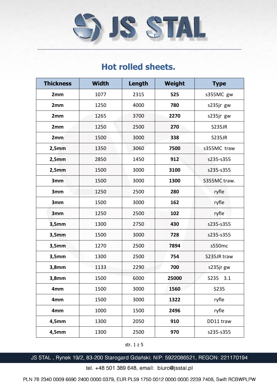

| <b>Thickness</b> | <b>Width</b> | Length | <b>Weight</b> | <b>Type</b>   |
|------------------|--------------|--------|---------------|---------------|
| 2mm              | 1077         | 2315   | 525           | s355MC gw     |
| 2mm              | 1250         | 4000   | 780           | s235jr gw     |
| 2mm              | 1265         | 3700   | 2270          | s235jr gw     |
| 2mm              | 1250         | 2500   | 270           | <b>S235JR</b> |
| 2mm              | 1500         | 3000   | 338           | <b>S235JR</b> |
| 2,5mm            | 1350         | 3060   | 7500          | s355MC traw   |
| 2,5mm            | 2850         | 1450   | 912           | s235-s355     |
| 2,5mm            | 1500         | 3000   | 3100          | s235-s355     |
| 3mm              | 1500         | 3000   | 1300          | S355MC traw.  |
| 3mm              | 1250         | 2500   | 280           | ryfle         |
| 3mm              | 1500         | 3000   | 162           | ryfle         |
| 3mm              | 1250         | 2500   | 102           | ryfle         |
| 3,5mm            | 1300         | 2750   | 430           | s235-s355     |
| 3,5mm            | 1500         | 3000   | 728           | s235-s355     |
| 3,5mm            | 1270         | 2500   | 7894          | s550mc        |
| 3,5mm            | 1300         | 2500   | 754           | S235JR traw   |
| 3,8mm            | 1133         | 2290   | 700           | s235jr gw     |
| 3,8mm            | 1500         | 6000   | 25000         | S235<br>3.1   |
| 4mm              | 1500         | 3000   | 1560          | S235          |
| 4mm              | 1500         | 3000   | 1322          | ryfle         |
| 4mm              | 1000         | 1500   | 2496          | ryfle         |
| $4,5$ mm         | 1300         | 2050   | 910           | DD11 traw     |
| 4,5mm            | 1300         | 2500   | 970           | s235-s355     |

## **Hot rolled sheets.**

str. 1 z 5

JS STAL, Rynek 19/2, 83-200 Starogard Gdański; NIP: 5922086521, REGON: 221170194

tel. +48 501 389 648, email: biuro@jsstal.pl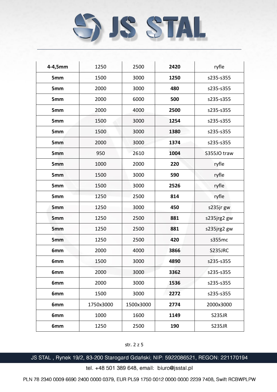

| 4-4,5mm         | 1250      | 2500      | 2420 | ryfle         |
|-----------------|-----------|-----------|------|---------------|
| 5mm             | 1500      | 3000      | 1250 | s235-s355     |
| 5mm             | 2000      | 3000      | 480  | s235-s355     |
| 5mm             | 2000      | 6000      | 500  | s235-s355     |
| 5mm             | 2000      | 4000      | 2500 | s235-s355     |
| 5mm             | 1500      | 3000      | 1254 | s235-s355     |
| 5mm             | 1500      | 3000      | 1380 | s235-s355     |
| 5mm             | 2000      | 3000      | 1374 | s235-s355     |
| 5mm             | 950       | 2610      | 1004 | S355JO traw   |
| 5 <sub>mm</sub> | 1000      | 2000      | 220  | ryfle         |
| <b>5mm</b>      | 1500      | 3000      | 590  | ryfle         |
| 5mm             | 1500      | 3000      | 2526 | ryfle         |
| 5mm             | 1250      | 2500      | 814  | ryfle         |
| 5mm             | 1250      | 3000      | 450  | s235jr gw     |
| 5 <sub>mm</sub> | 1250      | 2500      | 881  | s235jrg2 gw   |
| 5mm             | 1250      | 2500      | 881  | s235jrg2 gw   |
| 5mm             | 1250      | 2500      | 420  | s355mc        |
| 6mm             | 2000      | 4000      | 3866 | S235JRC       |
| 6mm             | 1500      | 3000      | 4890 | s235-s355     |
| 6mm             | 2000      | 3000      | 3362 | s235-s355     |
| 6mm             | 2000      | 3000      | 1536 | s235-s355     |
| 6mm             | 1500      | 3000      | 2272 | s235-s355     |
| 6mm             | 1750x3000 | 1500x3000 | 2774 | 2000x3000     |
| 6mm             | 1000      | 1600      | 1149 | <b>S235JR</b> |
| 6mm             | 1250      | 2500      | 190  | <b>S235JR</b> |

str. 2 z 5

JS STAL, Rynek 19/2, 83-200 Starogard Gdański; NIP: 5922086521, REGON: 221170194

tel. +48 501 389 648, email: biuro@jsstal.pl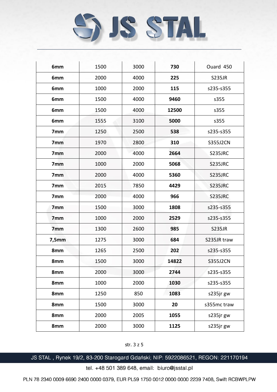

| 6mm             | 1500 | 3000 | 730   | Ouard 450       |
|-----------------|------|------|-------|-----------------|
| 6mm             | 2000 | 4000 | 225   | <b>S235JR</b>   |
| 6mm             | 1000 | 2000 | 115   | s235-s355       |
| 6mm             | 1500 | 4000 | 9460  | s355            |
| 6mm             | 1500 | 4000 | 12500 | s355            |
| 6mm             | 1555 | 3100 | 5000  | s355            |
| 7mm             | 1250 | 2500 | 538   | s235-s355       |
| 7 <sub>mm</sub> | 1970 | 2800 | 310   | <b>S355J2CN</b> |
| 7mm             | 2000 | 4000 | 2664  | S235JRC         |
| 7 <sub>mm</sub> | 1000 | 2000 | 5068  | S235JRC         |
| 7 <sub>mm</sub> | 2000 | 4000 | 5360  | S235JRC         |
| 7mm             | 2015 | 7850 | 4429  | <b>S235JRC</b>  |
| 7mm             | 2000 | 4000 | 966   | S235JRC         |
| 7 <sub>mm</sub> | 1500 | 3000 | 1808  | s235-s355       |
| 7 <sub>mm</sub> | 1000 | 2000 | 2529  | s235-s355       |
| 7 <sub>mm</sub> | 1300 | 2600 | 985   | <b>S235JR</b>   |
| 7,5mm           | 1275 | 3000 | 684   | S235JR traw     |
| 8mm             | 1265 | 2500 | 202   | s235-s355       |
| 8mm             | 1500 | 3000 | 14822 | <b>S355J2CN</b> |
| 8mm             | 2000 | 3000 | 2744  | s235-s355       |
| 8mm             | 1000 | 2000 | 1030  | s235-s355       |
| 8mm             | 1250 | 850  | 1083  | s235jr gw       |
| 8mm             | 1500 | 3000 | 20    | s355mc traw     |
| 8mm             | 2000 | 2005 | 1055  | s235jr gw       |
| 8mm             | 2000 | 3000 | 1125  | s235jr gw       |

## str. 3 z 5

JS STAL, Rynek 19/2, 83-200 Starogard Gdański; NIP: 5922086521, REGON: 221170194

tel. +48 501 389 648, email: biuro@jsstal.pl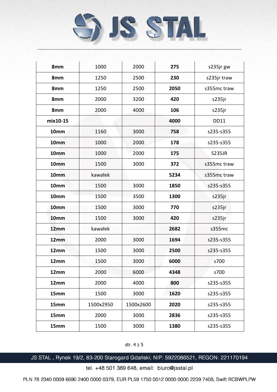

| 8mm      | 1000      | 2000      | 275  | s235jr gw     |
|----------|-----------|-----------|------|---------------|
| 8mm      | 1250      | 2500      | 230  | s235jr traw   |
| 8mm      | 1250      | 2500      | 2050 | s355mc traw   |
| 8mm      | 2000      | 3200      | 420  | s235jr        |
| 8mm      | 2000      | 4000      | 106  | s235jr        |
| mix10-15 |           |           | 4000 | <b>DD11</b>   |
| 10mm     | 1160      | 3000      | 758  | s235-s355     |
| 10mm     | 1000      | 2000      | 178  | s235-s355     |
| 10mm     | 1000      | 2000      | 175  | <b>S235JR</b> |
| 10mm     | 1500      | 3000      | 372  | s355mc traw   |
| 10mm     | kawałek   |           | 5234 | s355mc traw   |
| 10mm     | 1500      | 3000      | 1850 | s235-s355     |
| 10mm     | 1500      | 3500      | 1300 | s235jr        |
| 10mm     | 1500      | 3000      | 770  | s235jr        |
| 10mm     | 1500      | 3000      | 420  | s235jr        |
| 12mm     | kawałek   |           | 2682 | s355mc        |
| 12mm     | 2000      | 3000      | 1694 | s235-s355     |
| 12mm     | 1500      | 3000      | 2500 | s235-s355     |
| 12mm     | 1500      | 3000      | 6000 | s700          |
| 12mm     | 2000      | 6000      | 4348 | s700          |
| 12mm     | 2000      | 4000      | 800  | s235-s355     |
| 15mm     | 1500      | 3000      | 1620 | s235-s355     |
| 15mm     | 1500x2950 | 1500x2600 | 2020 | s235-s355     |
| 15mm     | 2000      | 3000      | 2836 | s235-s355     |
| 15mm     | 1500      | 3000      | 1380 | s235-s355     |

str. 4 z 5

JS STAL, Rynek 19/2, 83-200 Starogard Gdański; NIP: 5922086521, REGON: 221170194

tel. +48 501 389 648, email: biuro@jsstal.pl